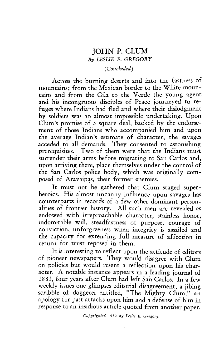## JOHN P. CLUM *By LESLIE E. GREGORY*

## *(Concluded)*

Across the burning deserts and into the fastness of mountains; from the Mexican border to the White mountains and from the Gila to the Verde the young agent and his incongruous disciples of Peace journeyed to refuges where Indians had fled and where their dislodgment by soldiers was an almost impossible undertaking. Upon Clum's promise of a square deal, backed by the endorsement of those Indians who accompanied him and upon the average Indian's estimate of character, the savages acceded to all demands. They consented to astonishing prerequisites. Two of them were that the Indians must surrender their arms before migrating to San Carlos and, upon arriving there, place themselves under the control of the San Carlos police body, which was originally composed of Aravaipas, their former enemies.

It must not be gathered that Glum staged superheroics. His almost uncanny influence upon savages has counterparts in records of a few other dominant personalities of frontier history. All such men are revealed as endowed with irreproachable character, stainless honor, indomitable will, steadfastness of purpose, courage of conviction, unforgiveness when integrity is assailed and the capacity for extending full measure of affection in return for trust reposed in them.

It is interesting to reflect upon the attitude of editors of pioneer newspapers. They would disagree with Glum on policies but would resent a reflection upon his character. A notable instance appears in a leading journal of <sup>1</sup> 881, four years after Glum had left San Carlos. In a few weekly issues one glimpses editorial disagreement, a jibing scribble of doggerel entitled, "The Mighty Glum," an apology for past attacks upon him and a defense of him in response to an insidious article quoted from another paper.

*Copyrighted* 1932 *by Leslie E. Gregory.*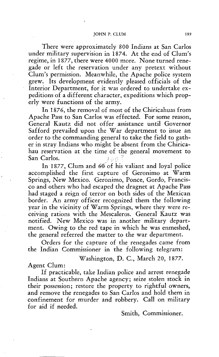There were approximately 800 Indians at San Carlos under military supervision in 1874. At the end of Clum's regime, in 1877, there were 4000 more. None turned renegade or left the reservation under any pretext without Clum's permission. Meanwhile, the Apache police system grew. Its development evidently pleased officials of the Interior Department, for it was ordered to undertake expeditions of a different character, expeditions which properly were functions of the army.

In 1876, the removal of most of the Chiricahuas from Apache Pass to San Carlos was effected. For some reason, General Kautz did not offer assistance until Governor Safford prevailed upon the War department to issue an order to the commanding general to take the field to gather in stray Indians who might be absent from the Chiricahau reservation at the time of the general movement to San Carlos.

Carlos.<br>In 1877, Clum and 60 of his valiant and loval police accomplished the first capture of Geronimo at Warm Springs, New Mexico. Geronimo, Ponce, Gordo, Francisco and others who had escaped the dragnet at Apache Pass had staged a reign of terror on both sides of the Mexican border. An army officer recognized them the following year in the vicinity of Warm Springs, where they were receiving rations with the Mescaleros. General Kautz was notified. New Mexico was in another military department. Owing to the red tape in which he was enmeshed, the general referred the matter to the war department.

Orders for the capture of the renegades came from the Indian Commissioner in the following telegram:

Washington, D. C., March 20, 1877.

Agent Glum:

If practicable, take Indian police and arrest renegade Indians at Southern Apache agency; seize stolen stock in their possession; restore the property to rightful owners, and remove the renegades to San Carlos and hold them in confinement for murder and robbery. Call on military for aid if needed.

Smith, Commissioner.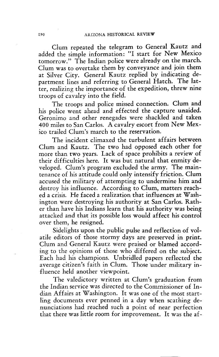Glum repeated the telegram to General Kautz and added the simple information: "I start for New Mexico tomorrow." The Indian police were already on the march. Glum was to overtake them by conveyance and join them at Silver City. General Kautz replied by indicating department lines and referring to General Hatch. The latter, realizing the importance of the expedition, threw nine troops of cavalry into the field.

The troops and police missed connection. Clum and his police went ahead and effected the capture unaided. Geronimo and other renegades were shackled and taken 400 miles to San Carlos. A cavalry escort from New Mexico trailed Clum's march to the reservation.

The incident climaxed the turbulent affairs between Glum and Kautz. The two had opposed each other for more than two years. Lack of space prohibits a review of their difficulties here. It was but natural that enmity developed. Clum's program excluded the army. The maintenance of his attitude could only intensify friction. Glum accused the military of attempting to undermine him and destroy his influence. According to Glum, matters reached a crisis. He faced a realization that influences at Washington were destroying his authority at San Carlos. Rather than have his Indians learn that his authority was being attacked and that its possible loss would affect his control over them, he resigned.

Sidelights upon the public pulse and reflection of volatile editors of those stormy days are preserved in print. Glum and General Kautz were praised or blamed according to the opinions of those who differed on the subject. Each had his champions. Unbridled papers reflected the average citizen's faith in Glum. Those under military influence held another viewpoint.

The valedictory written at Clum's graduation from the Indian service was directed to the Commissioner of Indian Affairs at Washington. It was one of the most startling documents ever penned in a day when scathing denunciations had reached such a point of near perfection that there was little room for improvement. It was the af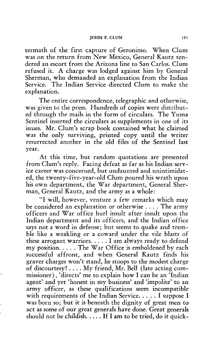termath of the first capture of Geronimo. When Glum was on the return from New Mexico, General Kautz tendered an escort from the Arizona line to San Carlos. Glum refused it. A charge was lodged against him by General Sherman, who demanded an explanation from the Indian Service. The Indian Service directed Glum to make the explanation.

The entire correspondence, telegraphic and otherwise, was given to the press. Hundreds of copies were distributed through the mails in the form of circulars. The Yuma Sentinel inserted the circulars as supplements in one of its issues. Mr. Clum's scrap book contained what he claimed was the only surviving, printed copy until the writer resurrected another in the old files of the Sentinel last year.

At this time, but random quotations are presented from Clum's reply. Facing defeat as far as his Indian service career was concerned, but undaunted and unintimidated, the twenty-five-year-old Glum poured his wrath upon his own department, the War department, General Sherman, General Kautz, and the army as a whole:

"I will, however, venture a few remarks which may be considered an explanation or otherwise . . . . The army officers and War office hurl insult after insult upon the Indian department and its officers, and the Indian office says not a word in defense; but seems to quake and tremble like a weakling or a coward under the vile blasts of these arrogant warriors.  $\dots$  I am always ready to defend my position.  $\dots$  The War Office is emboldened by each successful affront, and when General Kautz finds his graver charges won't stand, he stoops to the modest charge of discourtesy!  $\dots$  My friend, Mr. Bell (late acting commissioner) , 'directs' me to explain how I can be an 'Indian agent' and yet 'honest in my business' and 'impolite' to an army officer, as these qualifications seem incompatible with requirements of the Indian Service.  $\dots$  I suppose I was born so; but it is beneath the dignity of great men to act as some of our great generals have done. Great generals should not be childish..... If I am to be tried, do it quick-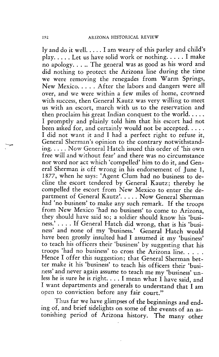ly and do it well.  $\dots$  I am weary of this parley and child's play .... Let us have solid work or nothing .... I make no apology. . . .. The general was as good as his word and did nothing to protect the Arizona line during the time we were removing the renegades from Warm Springs, New Mexico. . . . . After the labors and dangers were all over, and we were within a few miles of home, crowned with success, then General Kautz was very willing to meet us with an escort, march with us to the reservation and then proclaim his great Indian conquest to the world.  $\dots$ I promptly and plainly told him that his escort had not been asked for, and certainly would not be accepted.  $\dots$ . I did not want it and I had a perfect right to refuse it, General Sherman's opinion to the contrary notwithstanding.  $\dots$  Now General Hatch issued this order of 'his own free will and without fear' and there was no circumstance nor word nor act which 'compelled' him to do it, and General Sherman is off wrong in his endorsement of June 1, 1877, when he says: 'Agent Clum had no business to decline the escort tendered by General Kautz; thereby he compelled the escort from New Mexico to enter the department of General Kautz'..... Now General Sherman had 'no business' to make any such remark. If the troops from New Mexico 'had no business' to come to Arizona, they should have said so; a soldier should know his 'business.' . . . . If General Hatch did wrong, that is his 'business' and none of my 'business.' General Hatch would have been grossly insulted had I assumed it my 'business' to teach his officers their 'business' by suggesting that his troops 'had no business' to cross the Arizona line Hence I offer this suggestion; that General Sherman better make it his 'business' to teach his officers their 'business' and never again assume to teach me my 'business' unless he is sure he is right. . . . I mean what I have said, and I want departments and generals to understand that I am open to conviction before any fair court."

Thus far we have glimpses of the beginnings and ending of, and brief sidelights on some of the events of an astonishing period of Arizona history. The many other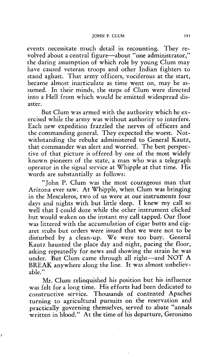events necessitate much detail in recounting. They revolved about a central figure—about "one administrator," the daring assumption of which role by young Glum may have caused veteran troops and other Indian fighters to stand aghast. That army officers, vociferous at the start, became almost inarticulate as time went on, may be assumed. In their minds, the steps of Glum were directed into a Hell from which would be emitted widespread disaster.

But Glum was armed with the authority which he exercised while the army was without authority to interfere. Each new expedition frazzled the nerves of officers and the commanding general. They expected the worst. Notwithstanding the rebuke administered to General Kautz, that commander was alert and worried. The best perspective of that picture is offered by one of the most widely known pioneers of the state, a man who was a telegraph operator in the signal service at Whipple at that time. His words are substantially as follows:

"John P. Glum was the most courageous man that Arizona ever saw. At Whipple, when Glum was bringing in the Mescaleros, two of us were at our instruments four days and nights with but little sleep. I knew my call so well that I could doze while the other instrument clicked but would waken on the instant my call tapped. Our floor was littered with the accumulation of cigar butts and cigaret stubs but orders were issued that we were not to be disturbed by a clean-up. We were too busy. General Kautz haunted the place day and night, pacing the floor, asking repeatedly for news and showing the strain he was under. But Glum came through all right—and NOT A BREAK anywhere along the line. It was almost unbelievable."

Mr. Glum relinquished his position but his influence was felt for a long time. His efforts had been dedicated to constructive service. Thousands of contented Apaches turning to agricultural pursuits on the reservation and practically governing themselves, served to abate "annals written in blood." At the time of his departure, Geronimo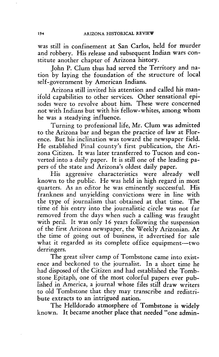was still in confinement at San Carlos, held for murder and robbery. His release and subsequent Indian wars constitute another chapter of Arizona history.

John P. Glum thus had served the Territory and nation by laying the foundation of the structure of local self-government by American Indians.

Arizona still invited his attention and called his manifold capabilities to other services. Other sensational episodes were to revolve about him. These were concerned not with Indians but with his fellow-whites, among whom he was a steadying influence.

Turning to professional life, Mr. Clum was admitted to the Arizona bar and began the practice of law at Florence. But his inclination was toward the newspaper field. He established Pinal county's first publication, the Arizona Citizen. It was later transferred to Tucson and converted into a daily paper. It is still one of the leading papers of the state and Arizona's oldest daily paper.

His aggressive characteristics were already well known to the public. He was held in high regard in most quarters. As an editor he was eminently successful. His frankness and unyielding convictions were in line with the type of journalism that obtained at that time. The time of his entry into the journalistic circle was not far removed from the days when such a calling was fraught with peril. It was only 16 years following the suspension of the first Arizona newspaper, the Weekly Arizonian. At the time of going out of business, it advertised for sale what it regarded as its complete office equipment—two derringers.

The great silver camp of Tombstone came into existence and beckoned to the journalist. In a short time he had disposed of the Citizen and had established the Tombstone Epitaph, one of the most colorful papers ever published in America, a journal whose files still draw writers to old Tombstone that they may transcribe and redistribute extracts to an intrigued nation.

The Helldorado atmosphere of Tombstone is widely known. It became another place that needed "one admin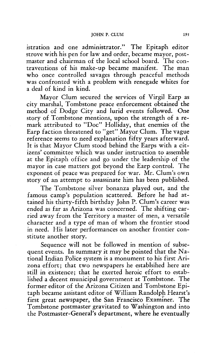istration and one administrator." The Epitaph editor strove with his pen for law and order, became mayor, postmaster and chairman of the local school board. The contraventions of his make-up became manifest. The man who once controlled savages through peaceful methods was confronted with a problem with renegade whites for a deal of kind in kind.

Mayor Glum secured the services of Virgil Earp as city marshal, Tombstone peace enforcement obtained the method of Dodge City and lurid events followed. One story of Tombstone mentions, upon the strength of a remark attributed to "Doc" Holliday, that enemies of the Earp faction threatened to "get" Mayor Glum. The vague reference seems to need explanation fifty years afterward. It is that Mayor Glum stood behind the Earps with a citizens' committee which was under instruction to assemble at the Epitaph office and go under the leadership of the mayor in case matters got beyond the Earp control. The exponent of peace was prepared for war. Mr. Clum's own story of an attempt to assassinate him has been published.

The Tombstone silver bonanza played out, and the famous camp's population scattered. Before he had attained his thirty-fifth birthday John P. Clum's career was ended as far as Arizona was concerned. The shifting carried away from the Territory a master of men, a versatile character and a type of man of whom the frontier stood in need. His later performances on another frontier constitute another story.

Sequence will not be followed in mention of subsequent events. In summary it may be pointed that the National Indian Police system is a monument to his first Arizona effort; that two newspapers he establsihed here are still in existence; that he exerted heroic effort to established a decent municipal government at Tombstone. The former editor of the Arizona Citizen and Tombstone Epitaph became assistant editor of William Randolph Hearst's first great newspaper, the San Francisco Examiner. The Tombstone postmaster gravitated to Washington and into the Postmaster-General's department, where he eventually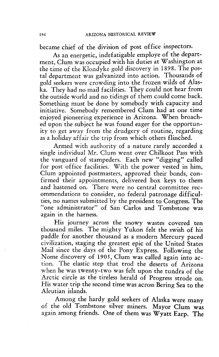became chief of the division of post office inspectors.

As an energetic, indefatigable employe of the department, Glum was occupied with his duties at Washington at the time of the Klondyke gold discovery in 1898. The postal department was galvanized into action. Thousands of gold seekers were crowding into the frozen wilds of Alaska. They had no mail facilities. They could not hear from the outside world and no tidings of them could corne back. Something must be done by somebody with capacity and initiative. Somebody remembered Glum had at one time enjoyed pioneering experience in Arizona. When broached upon the subject he was found eager for the opportunity to get away from the drudgery of routine, regarding as a holiday affair the trip from which others flinched.

Armed with authority of a nature rarely accorded a single individual Mr. Glum went over Chilkoot Pass with the vanguard of stampeders. Each new "digging" called for post office facilities. With the power vested in him, Glum appointed postmasters, approved their bonds, confirmed their appointments, delivered box keys to them and hastened on. There were no central committee recommendations to consider, no federal patronage difficulties, no names submitted by the president to Congress. The one administrator" of San Carlos and Tombstone was again in the harness.

His journey across the snowy wastes covered ten thousand miles. The mighty Yukon felt the swish of his paddle for another thousand as a modern Mercury paced civilization, staging the greatest epic of the United States Mail since the days of the Pony Express. Following the Nome discovery of 1905, Glum was called again into action. The elastic step that trod the deserts of Arizona when he was twenty-two was felt upon the tundra of the Arctic circle as the tireless herald of Progress strode on. His water trip the second time was across Bering Sea to the Aleutian islands.

Among the hardy gold seekers of Alaska were many of the old Tombstone silver miners. Mayor Glum was again among friends. One of them was Wyatt Earp. The